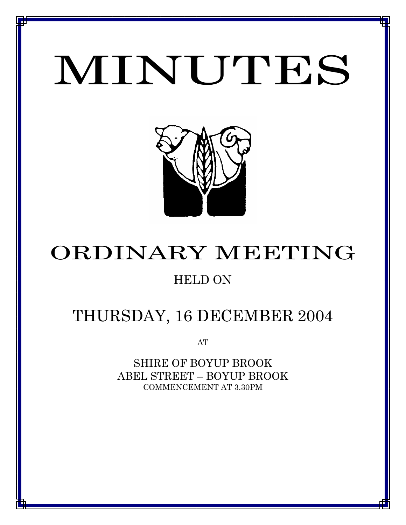# MINUTES

*MINUTES OF THE ORDINARY MEETING OF COUNCIL HELD ON 16 DECEMBER 2004*



## ORDINARY MEETING

## HELD ON

## THURSDAY, 16 DECEMBER 2004

AT

SHIRE OF BOYUP BROOK ABEL STREET – BOYUP BROOK COMMENCEMENT AT 3.30PM

1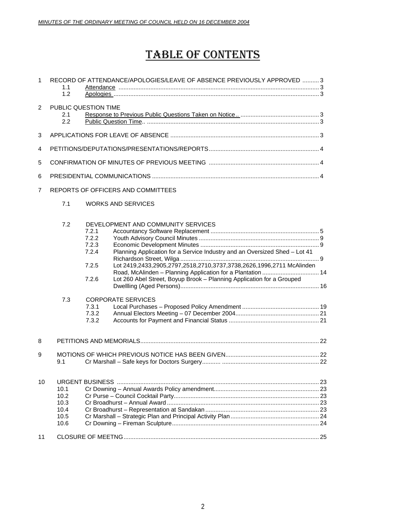## TABLE OF CONTENTS

| $\mathbf{1}$   | 1.1<br>1.2                                   |                                                                               | RECORD OF ATTENDANCE/APOLOGIES/LEAVE OF ABSENCE PREVIOUSLY APPROVED  3                                                                                                                                                                                                                         |  |
|----------------|----------------------------------------------|-------------------------------------------------------------------------------|------------------------------------------------------------------------------------------------------------------------------------------------------------------------------------------------------------------------------------------------------------------------------------------------|--|
| 2              | PUBLIC QUESTION TIME<br>2.1<br>2.2           |                                                                               |                                                                                                                                                                                                                                                                                                |  |
| 3              |                                              |                                                                               |                                                                                                                                                                                                                                                                                                |  |
| 4              |                                              |                                                                               |                                                                                                                                                                                                                                                                                                |  |
| 5              |                                              |                                                                               |                                                                                                                                                                                                                                                                                                |  |
| 6              |                                              |                                                                               |                                                                                                                                                                                                                                                                                                |  |
| $\overline{7}$ |                                              |                                                                               | REPORTS OF OFFICERS AND COMMITTEES                                                                                                                                                                                                                                                             |  |
|                | 7.1                                          |                                                                               | <b>WORKS AND SERVICES</b>                                                                                                                                                                                                                                                                      |  |
|                | 7.2<br>7.3                                   | 7.2.1<br>7.2.2<br>7.2.3<br>7.2.4<br>7.2.5<br>7.2.6<br>7.3.1<br>7.3.2<br>7.3.2 | DEVELOPMENT AND COMMUNITY SERVICES<br>Planning Application for a Service Industry and an Oversized Shed - Lot 41<br>Lot 2419,2433,2905,2797,2518,2710,3737,3738,2626,1996,2711 McAlinden<br>Lot 260 Abel Street, Boyup Brook - Planning Application for a Grouped<br><b>CORPORATE SERVICES</b> |  |
| 8              |                                              |                                                                               |                                                                                                                                                                                                                                                                                                |  |
| 9              | 9.1                                          |                                                                               |                                                                                                                                                                                                                                                                                                |  |
| 10             | 10.1<br>10.2<br>10.3<br>10.4<br>10.5<br>10.6 |                                                                               |                                                                                                                                                                                                                                                                                                |  |
| 11             |                                              |                                                                               |                                                                                                                                                                                                                                                                                                |  |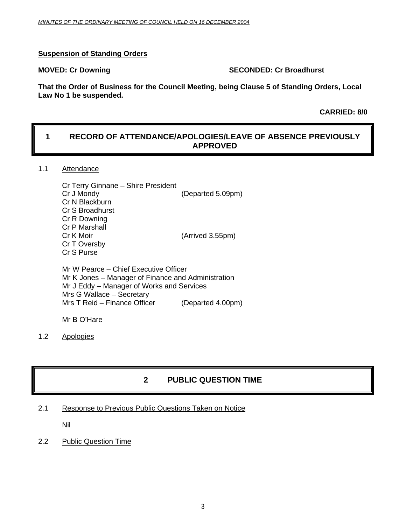#### **Suspension of Standing Orders**

#### **MOVED: Cr Downing Case Conduct 2018 SECONDED: Cr Broadhurst**

**That the Order of Business for the Council Meeting, being Clause 5 of Standing Orders, Local Law No 1 be suspended.** 

 **CARRIED: 8/0** 

#### **1 RECORD OF ATTENDANCE/APOLOGIES/LEAVE OF ABSENCE PREVIOUSLY APPROVED**

#### 1.1 Attendance

Cr Terry Ginnane – Shire President Cr J Mondy (Departed 5.09pm) Cr N Blackburn Cr S Broadhurst Cr R Downing Cr P Marshall Cr K Moir (Arrived 3.55pm) Cr T Oversby Cr S Purse

Mr W Pearce – Chief Executive Officer Mr K Jones – Manager of Finance and Administration Mr J Eddy – Manager of Works and Services Mrs G Wallace – Secretary Mrs T Reid – Finance Officer (Departed 4.00pm)

Mr B O'Hare

#### 1.2 Apologies

## **2 PUBLIC QUESTION TIME**

2.1 Response to Previous Public Questions Taken on Notice

Nil

2.2 Public Question Time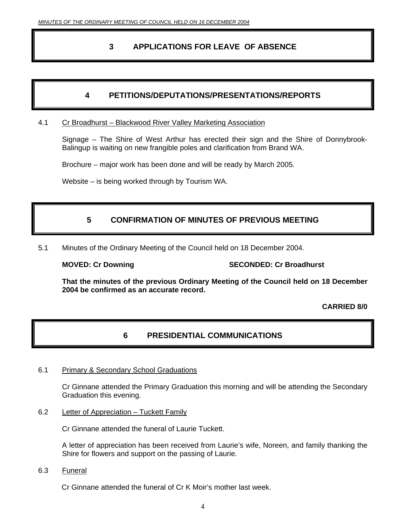#### **3 APPLICATIONS FOR LEAVE OF ABSENCE**

#### **4 PETITIONS/DEPUTATIONS/PRESENTATIONS/REPORTS**

#### 4.1 Cr Broadhurst – Blackwood River Valley Marketing Association

Signage – The Shire of West Arthur has erected their sign and the Shire of Donnybrook-Balingup is waiting on new frangible poles and clarification from Brand WA.

Brochure – major work has been done and will be ready by March 2005.

Website – is being worked through by Tourism WA.

#### **5 CONFIRMATION OF MINUTES OF PREVIOUS MEETING**

5.1 Minutes of the Ordinary Meeting of the Council held on 18 December 2004.

**MOVED: Cr Downing The SECONDED: Cr Broadhurst** 

**That the minutes of the previous Ordinary Meeting of the Council held on 18 December 2004 be confirmed as an accurate record.** 

**CARRIED 8/0** 

#### **6 PRESIDENTIAL COMMUNICATIONS**

6.1 Primary & Secondary School Graduations

Cr Ginnane attended the Primary Graduation this morning and will be attending the Secondary Graduation this evening.

6.2 Letter of Appreciation – Tuckett Family

Cr Ginnane attended the funeral of Laurie Tuckett.

A letter of appreciation has been received from Laurie's wife, Noreen, and family thanking the Shire for flowers and support on the passing of Laurie.

6.3 Funeral

Cr Ginnane attended the funeral of Cr K Moir's mother last week.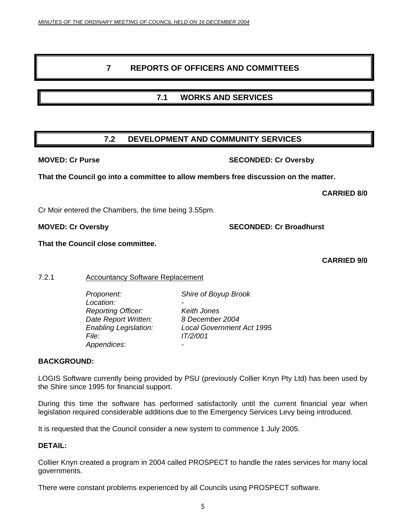## **7 REPORTS OF OFFICERS AND COMMITTEES**

## **7.1 WORKS AND SERVICES**

## **7.2 DEVELOPMENT AND COMMUNITY SERVICES**

#### **MOVED: Cr Purse SECONDED: Cr Oversby**

**That the Council go into a committee to allow members free discussion on the matter.** 

 **CARRIED 8/0** 

Cr Moir entered the Chambers, the time being 3.55pm.

**MOVED: Cr Oversby SECONDED: Cr Broadhurst** 

### **That the Council close committee.**

 **CARRIED 9/0** 

## 7.2.1 Accountancy Software Replacement

 *Proponent: Shire of Boyup Brook*  Location:  *Reporting Officer: Keith Jones Date Report Written: 8 December 2004 File: IT/2/001 Appendices*: *-*

 *Enabling Legislation: Local Government Act 1995* 

#### **BACKGROUND:**

LOGIS Software currently being provided by PSU (previously Collier Knyn Pty Ltd) has been used by the Shire since 1995 for financial support.

During this time the software has performed satisfactorily until the current financial year when legislation required considerable additions due to the Emergency Services Levy being introduced.

It is requested that the Council consider a new system to commence 1 July 2005.

#### **DETAIL:**

Collier Knyn created a program in 2004 called PROSPECT to handle the rates services for many local governments.

There were constant problems experienced by all Councils using PROSPECT software.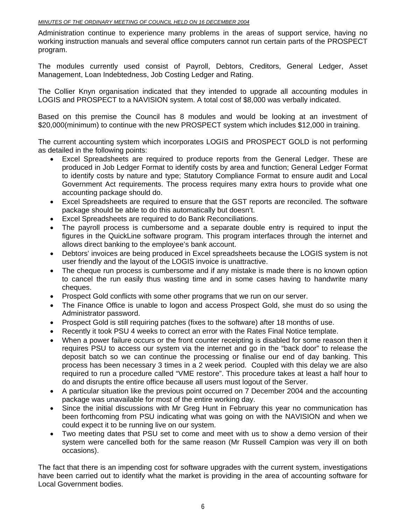#### *MINUTES OF THE ORDINARY MEETING OF COUNCIL HELD ON 16 DECEMBER 2004*

Administration continue to experience many problems in the areas of support service, having no working instruction manuals and several office computers cannot run certain parts of the PROSPECT program.

The modules currently used consist of Payroll, Debtors, Creditors, General Ledger, Asset Management, Loan Indebtedness, Job Costing Ledger and Rating.

The Collier Knyn organisation indicated that they intended to upgrade all accounting modules in LOGIS and PROSPECT to a NAVISION system. A total cost of \$8,000 was verbally indicated.

Based on this premise the Council has 8 modules and would be looking at an investment of \$20,000(minimum) to continue with the new PROSPECT system which includes \$12,000 in training.

The current accounting system which incorporates LOGIS and PROSPECT GOLD is not performing as detailed in the following points:

- Excel Spreadsheets are required to produce reports from the General Ledger. These are produced in Job Ledger Format to identify costs by area and function; General Ledger Format to identify costs by nature and type; Statutory Compliance Format to ensure audit and Local Government Act requirements. The process requires many extra hours to provide what one accounting package should do.
- Excel Spreadsheets are required to ensure that the GST reports are reconciled. The software package should be able to do this automatically but doesn't.
- Excel Spreadsheets are required to do Bank Reconciliations.
- The payroll process is cumbersome and a separate double entry is required to input the figures in the QuickLine software program. This program interfaces through the internet and allows direct banking to the employee's bank account.
- Debtors' invoices are being produced in Excel spreadsheets because the LOGIS system is not user friendly and the layout of the LOGIS invoice is unattractive.
- The cheque run process is cumbersome and if any mistake is made there is no known option to cancel the run easily thus wasting time and in some cases having to handwrite many cheques.
- Prospect Gold conflicts with some other programs that we run on our server.
- The Finance Office is unable to logon and access Prospect Gold, she must do so using the Administrator password.
- Prospect Gold is still requiring patches (fixes to the software) after 18 months of use.
- Recently it took PSU 4 weeks to correct an error with the Rates Final Notice template.
- When a power failure occurs or the front counter receipting is disabled for some reason then it requires PSU to access our system via the internet and go in the "back door" to release the deposit batch so we can continue the processing or finalise our end of day banking. This process has been necessary 3 times in a 2 week period. Coupled with this delay we are also required to run a procedure called "VME restore". This procedure takes at least a half hour to do and disrupts the entire office because all users must logout of the Server.
- A particular situation like the previous point occurred on 7 December 2004 and the accounting package was unavailable for most of the entire working day.
- Since the initial discussions with Mr Greg Hunt in February this year no communication has been forthcoming from PSU indicating what was going on with the NAVISION and when we could expect it to be running live on our system.
- Two meeting dates that PSU set to come and meet with us to show a demo version of their system were cancelled both for the same reason (Mr Russell Campion was very ill on both occasions).

The fact that there is an impending cost for software upgrades with the current system, investigations have been carried out to identify what the market is providing in the area of accounting software for Local Government bodies.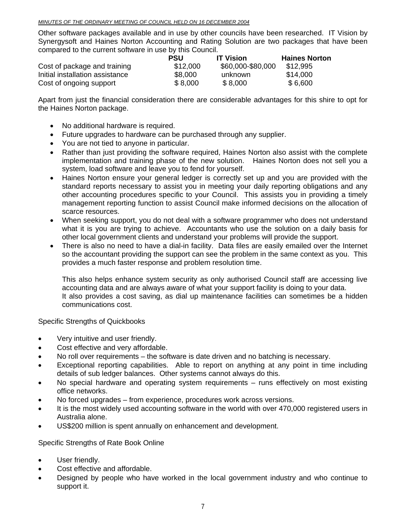Other software packages available and in use by other councils have been researched. IT Vision by Synergysoft and Haines Norton Accounting and Rating Solution are two packages that have been compared to the current software in use by this Council.

|                                 | PSU      | <b>IT Vision</b>  | <b>Haines Norton</b> |
|---------------------------------|----------|-------------------|----------------------|
| Cost of package and training    | \$12,000 | \$60,000-\$80,000 | \$12,995             |
| Initial installation assistance | \$8,000  | unknown           | \$14,000             |
| Cost of ongoing support         | \$8,000  | \$8,000           | \$6,600              |

Apart from just the financial consideration there are considerable advantages for this shire to opt for the Haines Norton package.

- No additional hardware is required.
- Future upgrades to hardware can be purchased through any supplier.
- You are not tied to anyone in particular.
- Rather than just providing the software required, Haines Norton also assist with the complete implementation and training phase of the new solution. Haines Norton does not sell you a system, load software and leave you to fend for yourself.
- Haines Norton ensure your general ledger is correctly set up and you are provided with the standard reports necessary to assist you in meeting your daily reporting obligations and any other accounting procedures specific to your Council. This assists you in providing a timely management reporting function to assist Council make informed decisions on the allocation of scarce resources.
- When seeking support, you do not deal with a software programmer who does not understand what it is you are trying to achieve. Accountants who use the solution on a daily basis for other local government clients and understand your problems will provide the support.
- There is also no need to have a dial-in facility. Data files are easily emailed over the Internet so the accountant providing the support can see the problem in the same context as you. This provides a much faster response and problem resolution time.

This also helps enhance system security as only authorised Council staff are accessing live accounting data and are always aware of what your support facility is doing to your data. It also provides a cost saving, as dial up maintenance facilities can sometimes be a hidden communications cost.

Specific Strengths of Quickbooks

- Very intuitive and user friendly.
- Cost effective and very affordable.
- No roll over requirements the software is date driven and no batching is necessary.
- Exceptional reporting capabilities. Able to report on anything at any point in time including details of sub ledger balances. Other systems cannot always do this.
- No special hardware and operating system requirements runs effectively on most existing office networks.
- No forced upgrades from experience, procedures work across versions.
- It is the most widely used accounting software in the world with over 470,000 registered users in Australia alone.
- US\$200 million is spent annually on enhancement and development.

Specific Strengths of Rate Book Online

- User friendly.
- Cost effective and affordable.
- Designed by people who have worked in the local government industry and who continue to support it.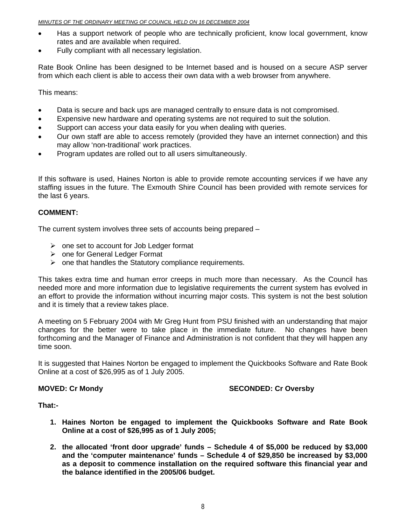- Has a support network of people who are technically proficient, know local government, know rates and are available when required.
- Fully compliant with all necessary legislation.

Rate Book Online has been designed to be Internet based and is housed on a secure ASP server from which each client is able to access their own data with a web browser from anywhere.

This means:

- Data is secure and back ups are managed centrally to ensure data is not compromised.
- Expensive new hardware and operating systems are not required to suit the solution.
- Support can access your data easily for you when dealing with queries.
- Our own staff are able to access remotely (provided they have an internet connection) and this may allow 'non-traditional' work practices.
- Program updates are rolled out to all users simultaneously.

If this software is used, Haines Norton is able to provide remote accounting services if we have any staffing issues in the future. The Exmouth Shire Council has been provided with remote services for the last 6 years.

#### **COMMENT:**

The current system involves three sets of accounts being prepared –

- $\triangleright$  one set to account for Job Ledger format
- $\triangleright$  one for General Ledger Format
- $\triangleright$  one that handles the Statutory compliance requirements.

This takes extra time and human error creeps in much more than necessary. As the Council has needed more and more information due to legislative requirements the current system has evolved in an effort to provide the information without incurring major costs. This system is not the best solution and it is timely that a review takes place.

A meeting on 5 February 2004 with Mr Greg Hunt from PSU finished with an understanding that major changes for the better were to take place in the immediate future. No changes have been forthcoming and the Manager of Finance and Administration is not confident that they will happen any time soon.

It is suggested that Haines Norton be engaged to implement the Quickbooks Software and Rate Book Online at a cost of \$26,995 as of 1 July 2005.

**MOVED: Cr Mondy SECONDED: Cr Oversby** 

**That:-** 

- **1. Haines Norton be engaged to implement the Quickbooks Software and Rate Book Online at a cost of \$26,995 as of 1 July 2005;**
- **2. the allocated 'front door upgrade' funds Schedule 4 of \$5,000 be reduced by \$3,000 and the 'computer maintenance' funds – Schedule 4 of \$29,850 be increased by \$3,000 as a deposit to commence installation on the required software this financial year and the balance identified in the 2005/06 budget.**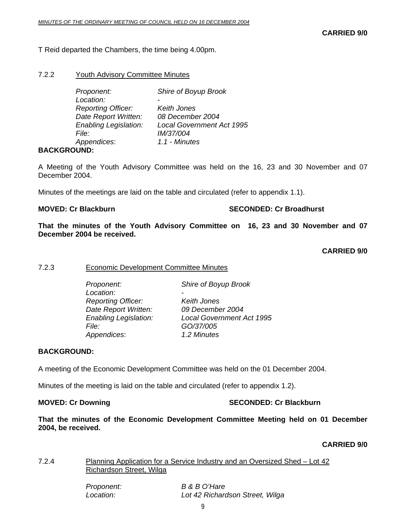T Reid departed the Chambers, the time being 4.00pm.

#### 7.2.2 Youth Advisory Committee Minutes

| Proponent:                   | Shire of Boyup Brook             |
|------------------------------|----------------------------------|
| Location:                    |                                  |
| <b>Reporting Officer:</b>    | Keith Jones                      |
| Date Report Written:         | 08 December 2004                 |
| <b>Enabling Legislation:</b> | <b>Local Government Act 1995</b> |
| <i>File:</i>                 | <i>IM/37/004</i>                 |
| Appendices:                  | 1.1 - Minutes                    |
|                              |                                  |

#### **BACKGROUND:**

A Meeting of the Youth Advisory Committee was held on the 16, 23 and 30 November and 07 December 2004.

Minutes of the meetings are laid on the table and circulated (refer to appendix 1.1).

#### **MOVED: Cr Blackburn SECONDED: Cr Broadhurst**  SECONDED: Cr Broadhurst

**That the minutes of the Youth Advisory Committee on 16, 23 and 30 November and 07 December 2004 be received.** 

**CARRIED 9/0** 

#### 7.2.3 Economic Development Committee Minutes

| Proponent:                   | Shire of Boyup Brook             |
|------------------------------|----------------------------------|
| Location:                    |                                  |
| <b>Reporting Officer:</b>    | Keith Jones                      |
| Date Report Written:         | 09 December 2004                 |
| <b>Enabling Legislation:</b> | <b>Local Government Act 1995</b> |
| <i>File:</i>                 | GO/37/005                        |
| Appendices:                  | 1.2 Minutes                      |
|                              |                                  |

#### **BACKGROUND:**

A meeting of the Economic Development Committee was held on the 01 December 2004.

Minutes of the meeting is laid on the table and circulated (refer to appendix 1.2).

**MOVED: Cr Downing Case Conducts Account SECONDED: Cr Blackburn** 

**That the minutes of the Economic Development Committee Meeting held on 01 December 2004, be received.** 

**CARRIED 9/0** 

#### 7.2.4 Planning Application for a Service Industry and an Oversized Shed – Lot 42 Richardson Street, Wilga

 *Proponent: B & B O'Hare Location: Lot 42 Richardson Street, Wilga*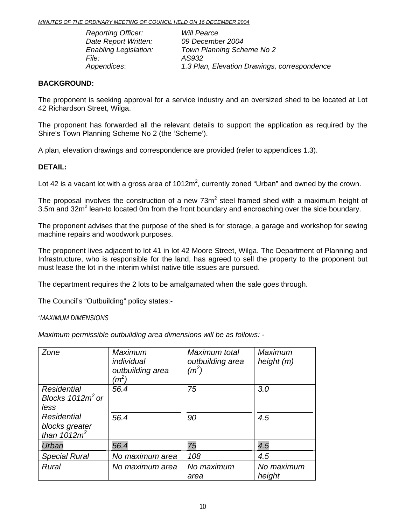*Reporting Officer: Will Pearce File: AS932* 

 *Date Report Written: 09 December 2004 Enabling Legislation: Town Planning Scheme No 2 Appendices*: *1.3 Plan, Elevation Drawings, correspondence* 

#### **BACKGROUND:**

The proponent is seeking approval for a service industry and an oversized shed to be located at Lot 42 Richardson Street, Wilga.

The proponent has forwarded all the relevant details to support the application as required by the Shire's Town Planning Scheme No 2 (the 'Scheme').

A plan, elevation drawings and correspondence are provided (refer to appendices 1.3).

#### **DETAIL:**

Lot 42 is a vacant lot with a gross area of 1012m<sup>2</sup>, currently zoned "Urban" and owned by the crown.

The proposal involves the construction of a new  $73m^2$  steel framed shed with a maximum height of 3.5m and 32 $m^2$  lean-to located 0m from the front boundary and encroaching over the side boundary.

The proponent advises that the purpose of the shed is for storage, a garage and workshop for sewing machine repairs and woodwork purposes.

The proponent lives adjacent to lot 41 in lot 42 Moore Street, Wilga. The Department of Planning and Infrastructure, who is responsible for the land, has agreed to sell the property to the proponent but must lease the lot in the interim whilst native title issues are pursued.

The department requires the 2 lots to be amalgamated when the sale goes through.

The Council's "Outbuilding" policy states:-

#### *"MAXIMUM DIMENSIONS*

*Maximum permissible outbuilding area dimensions will be as follows: -* 

| Zone                 | Maximum<br>individual<br>outbuilding area<br>$(m^2)$ | Maximum total<br>outbuilding area<br>$(m^2)$ | Maximum<br>height $(m)$ |
|----------------------|------------------------------------------------------|----------------------------------------------|-------------------------|
| Residential          | 56.4                                                 | 75                                           | 3.0                     |
| Blocks $1012m^2$ or  |                                                      |                                              |                         |
| less                 |                                                      |                                              |                         |
| Residential          | 56.4                                                 | 90                                           | 4.5                     |
| blocks greater       |                                                      |                                              |                         |
| than $1012m^2$       |                                                      |                                              |                         |
| Urban                | 56.4                                                 | 75                                           | 4.5                     |
| <b>Special Rural</b> | No maximum area                                      | 108                                          | 4.5                     |
| Rural                | No maximum area                                      | No maximum<br>area                           | No maximum<br>height    |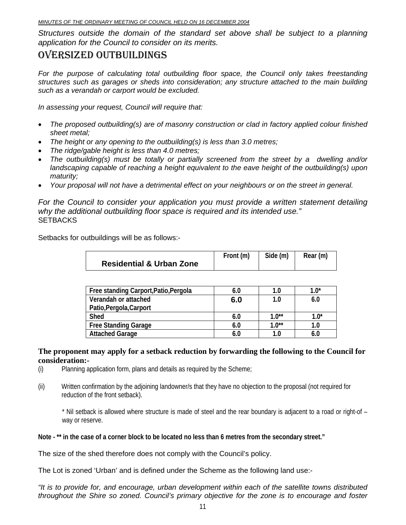*Structures outside the domain of the standard set above shall be subject to a planning application for the Council to consider on its merits.* 

## OVERSIZED OUTBUILDINGS

*For the purpose of calculating total outbuilding floor space, the Council only takes freestanding structures such as garages or sheds into consideration; any structure attached to the main building such as a verandah or carport would be excluded.* 

*In assessing your request, Council will require that:* 

- *The proposed outbuilding(s) are of masonry construction or clad in factory applied colour finished sheet metal;*
- *The height or any opening to the outbuilding(s) is less than 3.0 metres;*
- *The ridge/gable height is less than 4.0 metres;*
- *The outbuilding(s) must be totally or partially screened from the street by a dwelling and/or landscaping capable of reaching a height equivalent to the eave height of the outbuilding(s) upon maturity;*
- *Your proposal will not have a detrimental effect on your neighbours or on the street in general.*

*For the Council to consider your application you must provide a written statement detailing why the additional outbuilding floor space is required and its intended use."*  **SETBACKS** 

Setbacks for outbuildings will be as follows:-

|                                     | Front (m) | Side (m) | Rear (m) |
|-------------------------------------|-----------|----------|----------|
| <b>Residential &amp; Urban Zone</b> |           |          |          |

| Free standing Carport, Patio, Pergola |     |         | 1 በ* |
|---------------------------------------|-----|---------|------|
| Verandah or attached                  | 6.0 | 10      | 6.0  |
| Patio, Pergola, Carport               |     |         |      |
| Shed                                  | 6.O | $1.0**$ | 1.በ* |
| <b>Free Standing Garage</b>           | 6.0 | $1.0**$ |      |
| <b>Attached Garage</b>                |     |         |      |

#### **The proponent may apply for a setback reduction by forwarding the following to the Council for consideration:-**

- (i) Planning application form, plans and details as required by the Scheme;
- (ii) Written confirmation by the adjoining landowner/s that they have no objection to the proposal (not required for reduction of the front setback).

\* Nil setback is allowed where structure is made of steel and the rear boundary is adjacent to a road or right-of – way or reserve.

**Note - \*\* in the case of a corner block to be located no less than 6 metres from the secondary street."** 

The size of the shed therefore does not comply with the Council's policy.

The Lot is zoned 'Urban' and is defined under the Scheme as the following land use:-

*"It is to provide for, and encourage, urban development within each of the satellite towns distributed throughout the Shire so zoned. Council's primary objective for the zone is to encourage and foster*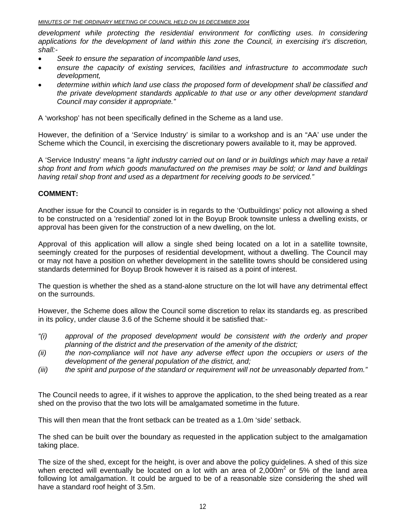development while protecting the residential environment for conflicting uses. In considering *applications for the development of land within this zone the Council, in exercising it's discretion, shall:-* 

- *Seek to ensure the separation of incompatible land uses,*
- *ensure the capacity of existing services, facilities and infrastructure to accommodate such development,*
- *determine within which land use class the proposed form of development shall be classified and the private development standards applicable to that use or any other development standard Council may consider it appropriate."*

A 'workshop' has not been specifically defined in the Scheme as a land use.

However, the definition of a 'Service Industry' is similar to a workshop and is an "AA' use under the Scheme which the Council, in exercising the discretionary powers available to it, may be approved.

A 'Service Industry' means "*a light industry carried out on land or in buildings which may have a retail shop front and from which goods manufactured on the premises may be sold; or land and buildings having retail shop front and used as a department for receiving goods to be serviced."* 

#### **COMMENT:**

Another issue for the Council to consider is in regards to the 'Outbuildings' policy not allowing a shed to be constructed on a 'residential' zoned lot in the Boyup Brook townsite unless a dwelling exists, or approval has been given for the construction of a new dwelling, on the lot.

Approval of this application will allow a single shed being located on a lot in a satellite townsite, seemingly created for the purposes of residential development, without a dwelling. The Council may or may not have a position on whether development in the satellite towns should be considered using standards determined for Boyup Brook however it is raised as a point of interest.

The question is whether the shed as a stand-alone structure on the lot will have any detrimental effect on the surrounds.

However, the Scheme does allow the Council some discretion to relax its standards eg. as prescribed in its policy, under clause 3.6 of the Scheme should it be satisfied that:-

- *"(i) approval of the proposed development would be consistent with the orderly and proper planning of the district and the preservation of the amenity of the district;*
- *(ii) the non-compliance will not have any adverse effect upon the occupiers or users of the development of the general population of the district, and;*
- *(iii) the spirit and purpose of the standard or requirement will not be unreasonably departed from."*

The Council needs to agree, if it wishes to approve the application, to the shed being treated as a rear shed on the proviso that the two lots will be amalgamated sometime in the future.

This will then mean that the front setback can be treated as a 1.0m 'side' setback.

The shed can be built over the boundary as requested in the application subject to the amalgamation taking place.

The size of the shed, except for the height, is over and above the policy guidelines. A shed of this size when erected will eventually be located on a lot with an area of 2,000 $m<sup>2</sup>$  or 5% of the land area following lot amalgamation. It could be argued to be of a reasonable size considering the shed will have a standard roof height of 3.5m.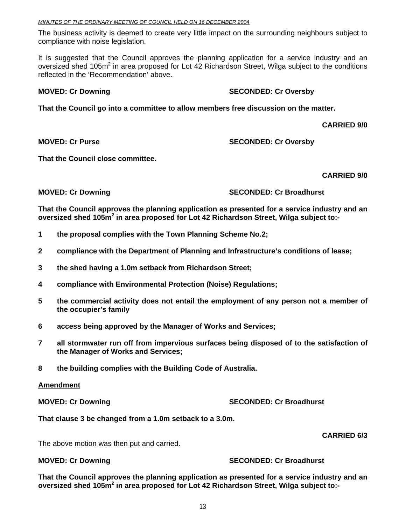#### *MINUTES OF THE ORDINARY MEETING OF COUNCIL HELD ON 16 DECEMBER 2004*

The business activity is deemed to create very little impact on the surrounding neighbours subject to compliance with noise legislation.

It is suggested that the Council approves the planning application for a service industry and an oversized shed 105m<sup>2</sup> in area proposed for Lot 42 Richardson Street, Wilga subject to the conditions reflected in the 'Recommendation' above.

#### **MOVED: Cr Downing**  $\qquad \qquad$  **SECONDED: Cr Oversby**

**That the Council go into a committee to allow members free discussion on the matter.** 

 **CARRIED 9/0** 

**That the Council close committee.** 

 **CARRIED 9/0** 

**MOVED: Cr Downing Case 2018 10 SECONDED: Cr Broadhurst** 

**That the Council approves the planning application as presented for a service industry and an oversized shed 105m<sup>2</sup> in area proposed for Lot 42 Richardson Street, Wilga subject to:-** 

- **1 the proposal complies with the Town Planning Scheme No.2;**
- **2 compliance with the Department of Planning and Infrastructure's conditions of lease;**
- **3 the shed having a 1.0m setback from Richardson Street;**
- **4 compliance with Environmental Protection (Noise) Regulations;**
- **5 the commercial activity does not entail the employment of any person not a member of the occupier's family**
- **6 access being approved by the Manager of Works and Services;**
- **7 all stormwater run off from impervious surfaces being disposed of to the satisfaction of the Manager of Works and Services;**
- **8 the building complies with the Building Code of Australia.**

#### **Amendment**

**MOVED: Cr Downing Case Conduct 2018 SECONDED: Cr Broadhurst** 

**That clause 3 be changed from a 1.0m setback to a 3.0m.** 

The above motion was then put and carried.

#### **MOVED: Cr Downing Case 2008 CONDED: SECONDED: Cr Broadhurst**

**That the Council approves the planning application as presented for a service industry and an oversized shed 105m<sup>2</sup> in area proposed for Lot 42 Richardson Street, Wilga subject to:-** 

## **CARRIED 6/3**

**MOVED: Cr Purse SECONDED: Cr Oversby**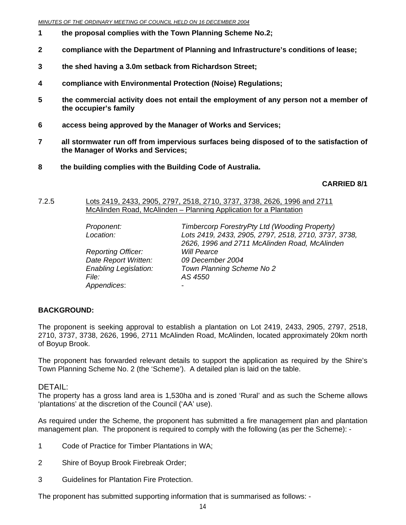#### *MINUTES OF THE ORDINARY MEETING OF COUNCIL HELD ON 16 DECEMBER 2004*

- **1 the proposal complies with the Town Planning Scheme No.2;**
- **2 compliance with the Department of Planning and Infrastructure's conditions of lease;**
- **3 the shed having a 3.0m setback from Richardson Street;**
- **4 compliance with Environmental Protection (Noise) Regulations;**
- **5 the commercial activity does not entail the employment of any person not a member of the occupier's family**
- **6 access being approved by the Manager of Works and Services;**
- **7 all stormwater run off from impervious surfaces being disposed of to the satisfaction of the Manager of Works and Services;**
- **8 the building complies with the Building Code of Australia.**

#### **CARRIED 8/1**

7.2.5 Lots 2419, 2433, 2905, 2797, 2518, 2710, 3737, 3738, 2626, 1996 and 2711 McAlinden Road, McAlinden – Planning Application for a Plantation

| Proponent:                   | <b>Timbercorp ForestryPty Ltd (Wooding Property)</b> |
|------------------------------|------------------------------------------------------|
| Location:                    | Lots 2419, 2433, 2905, 2797, 2518, 2710, 3737, 3738, |
|                              | 2626, 1996 and 2711 McAlinden Road, McAlinden        |
| <b>Reporting Officer:</b>    | <b>Will Pearce</b>                                   |
| Date Report Written:         | 09 December 2004                                     |
| <b>Enabling Legislation:</b> | Town Planning Scheme No 2                            |
| File: I                      | AS 4550                                              |
| Appendices:                  |                                                      |

#### **BACKGROUND:**

The proponent is seeking approval to establish a plantation on Lot 2419, 2433, 2905, 2797, 2518, 2710, 3737, 3738, 2626, 1996, 2711 McAlinden Road, McAlinden, located approximately 20km north of Boyup Brook.

The proponent has forwarded relevant details to support the application as required by the Shire's Town Planning Scheme No. 2 (the 'Scheme'). A detailed plan is laid on the table.

#### DETAIL:

The property has a gross land area is 1,530ha and is zoned 'Rural' and as such the Scheme allows 'plantations' at the discretion of the Council ('AA' use).

As required under the Scheme, the proponent has submitted a fire management plan and plantation management plan. The proponent is required to comply with the following (as per the Scheme): -

- 1 Code of Practice for Timber Plantations in WA;
- 2 Shire of Boyup Brook Firebreak Order;
- 3 Guidelines for Plantation Fire Protection.

The proponent has submitted supporting information that is summarised as follows: -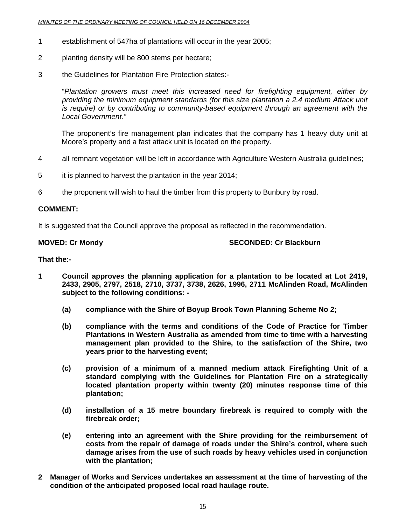- 1 establishment of 547ha of plantations will occur in the year 2005;
- 2 planting density will be 800 stems per hectare;
- 3 the Guidelines for Plantation Fire Protection states:-

"*Plantation growers must meet this increased need for firefighting equipment, either by providing the minimum equipment standards (for this size plantation a 2.4 medium Attack unit is require) or by contributing to community-based equipment through an agreement with the Local Government."* 

 The proponent's fire management plan indicates that the company has 1 heavy duty unit at Moore's property and a fast attack unit is located on the property.

- 4 all remnant vegetation will be left in accordance with Agriculture Western Australia guidelines;
- 5 it is planned to harvest the plantation in the year 2014;
- 6 the proponent will wish to haul the timber from this property to Bunbury by road.

#### **COMMENT:**

It is suggested that the Council approve the proposal as reflected in the recommendation.

#### **MOVED: Cr Mondy SECONDED: Cr Blackburn**

#### **That the:-**

- **1 Council approves the planning application for a plantation to be located at Lot 2419, 2433, 2905, 2797, 2518, 2710, 3737, 3738, 2626, 1996, 2711 McAlinden Road, McAlinden subject to the following conditions: -** 
	- **(a) compliance with the Shire of Boyup Brook Town Planning Scheme No 2;**
	- **(b) compliance with the terms and conditions of the Code of Practice for Timber Plantations in Western Australia as amended from time to time with a harvesting management plan provided to the Shire, to the satisfaction of the Shire, two years prior to the harvesting event;**
	- **(c) provision of a minimum of a manned medium attack Firefighting Unit of a standard complying with the Guidelines for Plantation Fire on a strategically located plantation property within twenty (20) minutes response time of this plantation;**
	- **(d) installation of a 15 metre boundary firebreak is required to comply with the firebreak order;**
	- **(e) entering into an agreement with the Shire providing for the reimbursement of costs from the repair of damage of roads under the Shire's control, where such damage arises from the use of such roads by heavy vehicles used in conjunction with the plantation;**
- **2 Manager of Works and Services undertakes an assessment at the time of harvesting of the condition of the anticipated proposed local road haulage route.**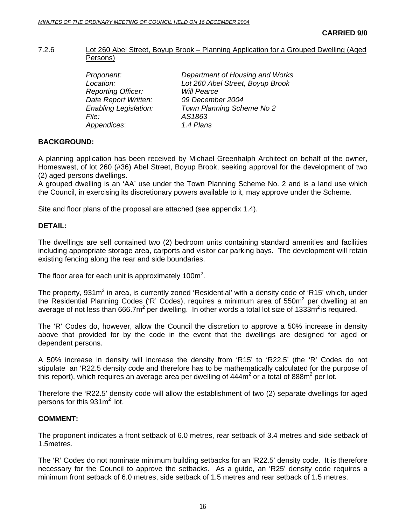#### 7.2.6 Lot 260 Abel Street, Boyup Brook – Planning Application for a Grouped Dwelling (Aged Persons)

| Proponent:                   | Department of Housing and Works  |
|------------------------------|----------------------------------|
| Location:                    | Lot 260 Abel Street, Boyup Brook |
| <b>Reporting Officer:</b>    | <b>Will Pearce</b>               |
| Date Report Written:         | 09 December 2004                 |
| <b>Enabling Legislation:</b> | Town Planning Scheme No 2        |
| <i>File:</i>                 | AS1863                           |
| Appendices:                  | 1.4 Plans                        |
|                              |                                  |

#### **BACKGROUND:**

A planning application has been received by Michael Greenhalph Architect on behalf of the owner, Homeswest, of lot 260 (#36) Abel Street, Boyup Brook, seeking approval for the development of two (2) aged persons dwellings.

A grouped dwelling is an 'AA' use under the Town Planning Scheme No. 2 and is a land use which the Council, in exercising its discretionary powers available to it, may approve under the Scheme.

Site and floor plans of the proposal are attached (see appendix 1.4).

#### **DETAIL:**

The dwellings are self contained two (2) bedroom units containing standard amenities and facilities including appropriate storage area, carports and visitor car parking bays. The development will retain existing fencing along the rear and side boundaries.

The floor area for each unit is approximately 100 $m^2$ .

The property, 931m<sup>2</sup> in area, is currently zoned 'Residential' with a density code of 'R15' which, under the Residential Planning Codes ('R' Codes), requires a minimum area of 550m<sup>2</sup> per dwelling at an average of not less than 666.7m<sup>2</sup> per dwelling. In other words a total lot size of 1333m<sup>2</sup> is required.

The 'R' Codes do, however, allow the Council the discretion to approve a 50% increase in density above that provided for by the code in the event that the dwellings are designed for aged or dependent persons.

A 50% increase in density will increase the density from 'R15' to 'R22.5' (the 'R' Codes do not stipulate an 'R22.5 density code and therefore has to be mathematically calculated for the purpose of this report), which requires an average area per dwelling of  $444m^2$  or a total of  $888m^2$  per lot.

Therefore the 'R22.5' density code will allow the establishment of two (2) separate dwellings for aged persons for this  $931m^2$  lot.

#### **COMMENT:**

The proponent indicates a front setback of 6.0 metres, rear setback of 3.4 metres and side setback of 1.5metres.

The 'R' Codes do not nominate minimum building setbacks for an 'R22.5' density code. It is therefore necessary for the Council to approve the setbacks. As a guide, an 'R25' density code requires a minimum front setback of 6.0 metres, side setback of 1.5 metres and rear setback of 1.5 metres.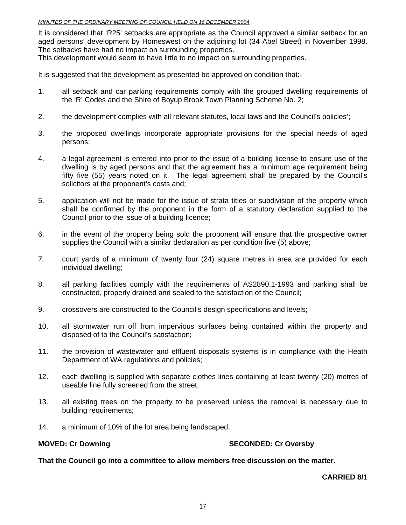It is considered that 'R25' setbacks are appropriate as the Council approved a similar setback for an aged persons' development by Homeswest on the adjoining lot (34 Abel Street) in November 1998. The setbacks have had no impact on surrounding properties.

This development would seem to have little to no impact on surrounding properties.

It is suggested that the development as presented be approved on condition that:-

- 1. all setback and car parking requirements comply with the grouped dwelling requirements of the 'R' Codes and the Shire of Boyup Brook Town Planning Scheme No. 2;
- 2. the development complies with all relevant statutes, local laws and the Council's policies';
- 3. the proposed dwellings incorporate appropriate provisions for the special needs of aged persons;
- 4. a legal agreement is entered into prior to the issue of a building license to ensure use of the dwelling is by aged persons and that the agreement has a minimum age requirement being fifty five (55) years noted on it. The legal agreement shall be prepared by the Council's solicitors at the proponent's costs and;
- 5. application will not be made for the issue of strata titles or subdivision of the property which shall be confirmed by the proponent in the form of a statutory declaration supplied to the Council prior to the issue of a building licence;
- 6. in the event of the property being sold the proponent will ensure that the prospective owner supplies the Council with a similar declaration as per condition five (5) above;
- 7. court yards of a minimum of twenty four (24) square metres in area are provided for each individual dwelling;
- 8. all parking facilities comply with the requirements of AS2890.1-1993 and parking shall be constructed, properly drained and sealed to the satisfaction of the Council;
- 9. crossovers are constructed to the Council's design specifications and levels;
- 10. all stormwater run off from impervious surfaces being contained within the property and disposed of to the Council's satisfaction;
- 11. the provision of wastewater and effluent disposals systems is in compliance with the Heath Department of WA regulations and policies;
- 12. each dwelling is supplied with separate clothes lines containing at least twenty (20) metres of useable line fully screened from the street;
- 13. all existing trees on the property to be preserved unless the removal is necessary due to building requirements;
- 14. a minimum of 10% of the lot area being landscaped.

#### **MOVED: Cr Downing**  $\qquad \qquad$  **SECONDED: Cr Oversby**

**That the Council go into a committee to allow members free discussion on the matter.** 

 **CARRIED 8/1**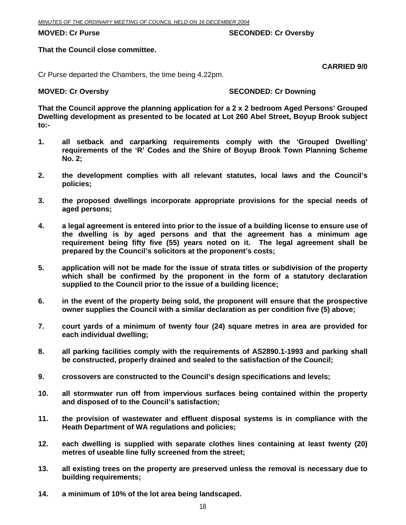#### **MOVED: Cr Purse SECONDED: Cr Oversby**

#### **That the Council close committee.**

 **CARRIED 9/0** 

Cr Purse departed the Chambers, the time being 4.22pm.

#### **MOVED: Cr Oversby SECONDED: Cr Downing SECONDED: Cr Downing 3**

**That the Council approve the planning application for a 2 x 2 bedroom Aged Persons' Grouped Dwelling development as presented to be located at Lot 260 Abel Street, Boyup Brook subject to:-** 

- **1. all setback and carparking requirements comply with the 'Grouped Dwelling' requirements of the 'R' Codes and the Shire of Boyup Brook Town Planning Scheme No. 2;**
- **2. the development complies with all relevant statutes, local laws and the Council's policies;**
- **3. the proposed dwellings incorporate appropriate provisions for the special needs of aged persons;**
- **4. a legal agreement is entered into prior to the issue of a building license to ensure use of the dwelling is by aged persons and that the agreement has a minimum age requirement being fifty five (55) years noted on it. The legal agreement shall be prepared by the Council's solicitors at the proponent's costs;**
- **5. application will not be made for the issue of strata titles or subdivision of the property which shall be confirmed by the proponent in the form of a statutory declaration supplied to the Council prior to the issue of a building licence;**
- **6. in the event of the property being sold, the proponent will ensure that the prospective owner supplies the Council with a similar declaration as per condition five (5) above;**
- **7. court yards of a minimum of twenty four (24) square metres in area are provided for each individual dwelling;**
- **8. all parking facilities comply with the requirements of AS2890.1-1993 and parking shall be constructed, properly drained and sealed to the satisfaction of the Council;**
- **9. crossovers are constructed to the Council's design specifications and levels;**
- **10. all stormwater run off from impervious surfaces being contained within the property and disposed of to the Council's satisfaction;**
- **11. the provision of wastewater and effluent disposal systems is in compliance with the Heath Department of WA regulations and policies;**
- **12. each dwelling is supplied with separate clothes lines containing at least twenty (20) metres of useable line fully screened from the street;**
- **13. all existing trees on the property are preserved unless the removal is necessary due to building requirements;**
- **14. a minimum of 10% of the lot area being landscaped.**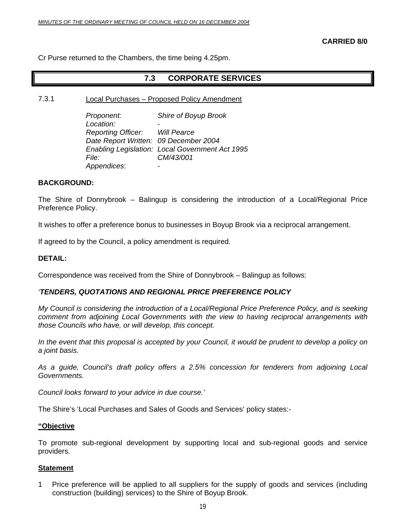#### **CARRIED 8/0**

Cr Purse returned to the Chambers, the time being 4.25pm.

### **7.3 CORPORATE SERVICES**

7.3.1 Local Purchases – Proposed Policy Amendment

 *Proponent: Shire of Boyup Brook*  Location:  *Reporting Officer: Will Pearce Date Report Written: 09 December 2004 Enabling Legislation: Local Government Act 1995 File: CM/43/001 Appendices*: -

#### **BACKGROUND:**

The Shire of Donnybrook – Balingup is considering the introduction of a Local/Regional Price Preference Policy.

It wishes to offer a preference bonus to businesses in Boyup Brook via a reciprocal arrangement.

If agreed to by the Council, a policy amendment is required.

#### **DETAIL:**

Correspondence was received from the Shire of Donnybrook – Balingup as follows:

#### *'TENDERS, QUOTATIONS AND REGIONAL PRICE PREFERENCE POLICY*

*My Council is considering the introduction of a Local/Regional Price Preference Policy, and is seeking comment from adjoining Local Governments with the view to having reciprocal arrangements with those Councils who have, or will develop, this concept.* 

*In the event that this proposal is accepted by your Council, it would be prudent to develop a policy on a joint basis.* 

*As a guide, Council's draft policy offers a 2.5% concession for tenderers from adjoining Local Governments.* 

*Council looks forward to your advice in due course.'* 

The Shire's 'Local Purchases and Sales of Goods and Services' policy states:-

#### **"Objective**

To promote sub-regional development by supporting local and sub-regional goods and service providers.

#### **Statement**

1 Price preference will be applied to all suppliers for the supply of goods and services (including construction (building) services) to the Shire of Boyup Brook.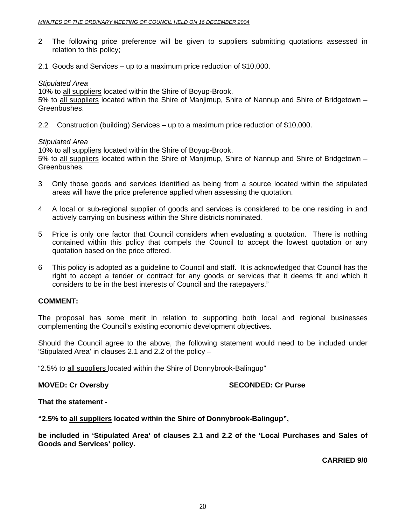- 2 The following price preference will be given to suppliers submitting quotations assessed in relation to this policy;
- 2.1 Goods and Services up to a maximum price reduction of \$10,000.

#### *Stipulated Area*

10% to all suppliers located within the Shire of Boyup-Brook.

5% to all suppliers located within the Shire of Manjimup, Shire of Nannup and Shire of Bridgetown – Greenbushes.

2.2 Construction (building) Services – up to a maximum price reduction of \$10,000.

#### *Stipulated Area*

10% to all suppliers located within the Shire of Boyup-Brook.

5% to all suppliers located within the Shire of Manjimup, Shire of Nannup and Shire of Bridgetown – Greenbushes.

- 3 Only those goods and services identified as being from a source located within the stipulated areas will have the price preference applied when assessing the quotation.
- 4 A local or sub-regional supplier of goods and services is considered to be one residing in and actively carrying on business within the Shire districts nominated.
- 5 Price is only one factor that Council considers when evaluating a quotation. There is nothing contained within this policy that compels the Council to accept the lowest quotation or any quotation based on the price offered.
- 6 This policy is adopted as a guideline to Council and staff. It is acknowledged that Council has the right to accept a tender or contract for any goods or services that it deems fit and which it considers to be in the best interests of Council and the ratepayers."

#### **COMMENT:**

The proposal has some merit in relation to supporting both local and regional businesses complementing the Council's existing economic development objectives.

Should the Council agree to the above, the following statement would need to be included under 'Stipulated Area' in clauses 2.1 and 2.2 of the policy –

"2.5% to all suppliers located within the Shire of Donnybrook-Balingup"

**MOVED: Cr Oversby SECONDED: Cr Purse 32 SECONDED: Cr Purse** 

**That the statement -** 

**"2.5% to all suppliers located within the Shire of Donnybrook-Balingup",** 

**be included in 'Stipulated Area' of clauses 2.1 and 2.2 of the 'Local Purchases and Sales of Goods and Services' policy.** 

 **CARRIED 9/0**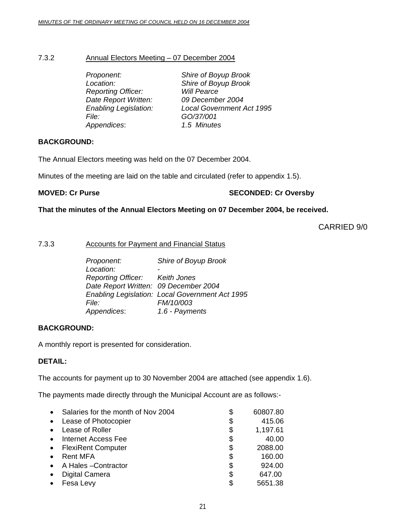#### 7.3.2 Annual Electors Meeting – 07 December 2004

| Shire of Boyup Brook             |
|----------------------------------|
| Shire of Boyup Brook             |
| <b>Will Pearce</b>               |
| 09 December 2004                 |
| <b>Local Government Act 1995</b> |
| GO/37/001                        |
| 1.5 Minutes                      |
|                                  |

#### **BACKGROUND:**

The Annual Electors meeting was held on the 07 December 2004.

Minutes of the meeting are laid on the table and circulated (refer to appendix 1.5).

#### **MOVED: Cr Purse SECONDED: Cr Oversby**

#### **That the minutes of the Annual Electors Meeting on 07 December 2004, be received.**

CARRIED 9/0

#### 7.3.3 Accounts for Payment and Financial Status

| Proponent:                            | Shire of Boyup Brook                            |
|---------------------------------------|-------------------------------------------------|
| Location:                             |                                                 |
| Reporting Officer: Keith Jones        |                                                 |
| Date Report Written: 09 December 2004 |                                                 |
|                                       | Enabling Legislation: Local Government Act 1995 |
| <i>File:</i>                          | FM/10/003                                       |
| Appendices:                           | 1.6 - Payments                                  |

#### **BACKGROUND:**

A monthly report is presented for consideration.

#### **DETAIL:**

The accounts for payment up to 30 November 2004 are attached (see appendix 1.6).

The payments made directly through the Municipal Account are as follows:-

|           | Salaries for the month of Nov 2004 |    | 60807.80 |
|-----------|------------------------------------|----|----------|
| $\bullet$ | Lease of Photocopier               | \$ | 415.06   |
| $\bullet$ | Lease of Roller                    | \$ | 1,197.61 |
| $\bullet$ | Internet Access Fee                | \$ | 40.00    |
| $\bullet$ | <b>FlexiRent Computer</b>          | \$ | 2088.00  |
| $\bullet$ | <b>Rent MFA</b>                    | \$ | 160.00   |
| $\bullet$ | A Hales-Contractor                 | \$ | 924.00   |
|           | <b>Digital Camera</b>              | \$ | 647.00   |
|           | Fesa Levy                          | S  | 5651.38  |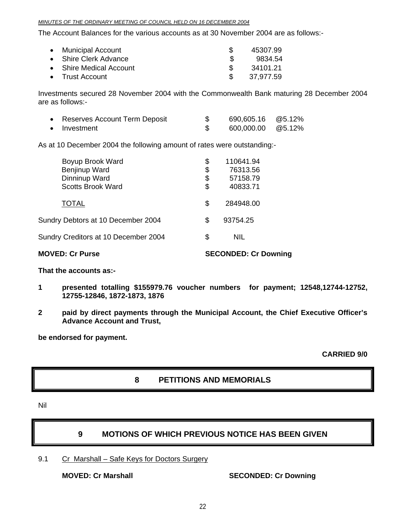#### *MINUTES OF THE ORDINARY MEETING OF COUNCIL HELD ON 16 DECEMBER 2004*

The Account Balances for the various accounts as at 30 November 2004 are as follows:-

| • Municipal Account     | 45307.99  |
|-------------------------|-----------|
| • Shire Clerk Advance   | 9834.54   |
| • Shire Medical Account | 34101.21  |
| • Trust Account         | 37,977.59 |

Investments secured 28 November 2004 with the Commonwealth Bank maturing 28 December 2004 are as follows:-

| • Reserves Account Term Deposit | 690,605.16 @5.12% |  |
|---------------------------------|-------------------|--|
| • Investment                    | 600,000.00 @5.12% |  |

As at 10 December 2004 the following amount of rates were outstanding:-

| <b>MOVED: Cr Purse</b>                                                                                                                                  | <b>SECONDED: Cr Downing</b> |  |
|---------------------------------------------------------------------------------------------------------------------------------------------------------|-----------------------------|--|
| <b>NIL</b><br>Sundry Creditors at 10 December 2004<br>\$                                                                                                |                             |  |
| Sundry Debtors at 10 December 2004<br>\$<br>93754.25                                                                                                    |                             |  |
| \$<br><b>TOTAL</b><br>284948.00                                                                                                                         |                             |  |
| \$<br>Boyup Brook Ward<br>110641.94<br>Benjinup Ward<br>\$<br>76313.56<br>Dinninup Ward<br>\$<br>57158.79<br>\$<br><b>Scotts Brook Ward</b><br>40833.71 |                             |  |

**That the accounts as:-** 

- **1 presented totalling \$155979.76 voucher numbers for payment; 12548,12744-12752, 12755-12846, 1872-1873, 1876**
- **2 paid by direct payments through the Municipal Account, the Chief Executive Officer's Advance Account and Trust,**

**be endorsed for payment.** 

**CARRIED 9/0** 

#### **8 PETITIONS AND MEMORIALS**

Nil

## **9 MOTIONS OF WHICH PREVIOUS NOTICE HAS BEEN GIVEN**

#### 9.1 Cr Marshall – Safe Keys for Doctors Surgery

**MOVED: Cr Marshall SECONDED: Cr Downing**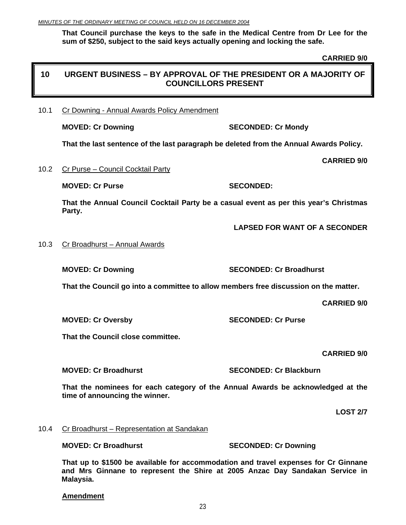**That Council purchase the keys to the safe in the Medical Centre from Dr Lee for the sum of \$250, subject to the said keys actually opening and locking the safe.**

 **CARRIED 9/0** 

**CARRIED 9/0** 

#### **10 URGENT BUSINESS – BY APPROVAL OF THE PRESIDENT OR A MAJORITY OF COUNCILLORS PRESENT**

10.1 Cr Downing - Annual Awards Policy Amendment

**MOVED: Cr Downing SECONDED: Cr Mondy** 

 **That the last sentence of the last paragraph be deleted from the Annual Awards Policy.** 

10.2 Cr Purse – Council Cocktail Party

**MOVED: Cr Purse SECONDED:** 

**That the Annual Council Cocktail Party be a casual event as per this year's Christmas Party.** 

**LAPSED FOR WANT OF A SECONDER** 

#### 10.3 Cr Broadhurst – Annual Awards

**MOVED: Cr Downing The SECONDED: Cr Broadhurst** 

**That the Council go into a committee to allow members free discussion on the matter.** 

 **CARRIED 9/0** 

**MOVED: Cr Oversby SECONDED: Cr Purse** 

**That the Council close committee.** 

 **CARRIED 9/0** 

**MOVED: Cr Broadhurst SECONDED: Cr Blackburn** 

**That the nominees for each category of the Annual Awards be acknowledged at the time of announcing the winner.** 

**LOST 2/7** 

#### 10.4 Cr Broadhurst – Representation at Sandakan

**MOVED: Cr Broadhurst SECONDED: Cr Downing** 

**That up to \$1500 be available for accommodation and travel expenses for Cr Ginnane and Mrs Ginnane to represent the Shire at 2005 Anzac Day Sandakan Service in Malaysia.** 

**Amendment**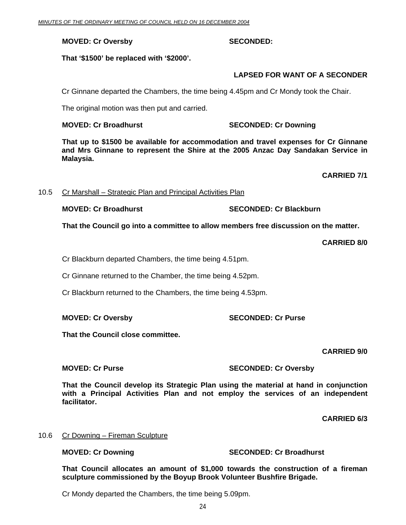#### **MOVED: Cr Oversby SECONDED:**

## **That '\$1500' be replaced with '\$2000'.**

#### **LAPSED FOR WANT OF A SECONDER**

Cr Ginnane departed the Chambers, the time being 4.45pm and Cr Mondy took the Chair.

The original motion was then put and carried.

#### **MOVED: Cr Broadhurst SECONDED: Cr Downing**

**That up to \$1500 be available for accommodation and travel expenses for Cr Ginnane and Mrs Ginnane to represent the Shire at the 2005 Anzac Day Sandakan Service in Malaysia.** 

**CARRIED 7/1** 

#### 10.5 Cr Marshall – Strategic Plan and Principal Activities Plan

**MOVED: Cr Broadhurst SECONDED: Cr Blackburn** 

**That the Council go into a committee to allow members free discussion on the matter.** 

 **CARRIED 8/0** 

Cr Blackburn departed Chambers, the time being 4.51pm.

Cr Ginnane returned to the Chamber, the time being 4.52pm.

Cr Blackburn returned to the Chambers, the time being 4.53pm.

#### **MOVED: Cr Oversby SECONDED: Cr Purse**

**That the Council close committee.** 

 **CARRIED 9/0** 

## **MOVED: Cr Purse SECONDED: Cr Oversby**

**That the Council develop its Strategic Plan using the material at hand in conjunction with a Principal Activities Plan and not employ the services of an independent facilitator.** 

**CARRIED 6/3** 

#### 10.6 Cr Downing – Fireman Sculpture

## **MOVED: Cr Downing SECONDED: Cr Broadhurst**

**That Council allocates an amount of \$1,000 towards the construction of a fireman sculpture commissioned by the Boyup Brook Volunteer Bushfire Brigade.** 

Cr Mondy departed the Chambers, the time being 5.09pm.